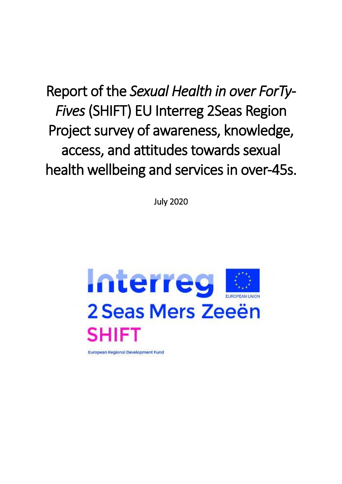Report of the *Sexual Health in over ForTy-Fives* (SHIFT) EU Interreg 2Seas Region Project survey of awareness, knowledge, access, and attitudes towards sexual health wellbeing and services in over-45s.

July 2020

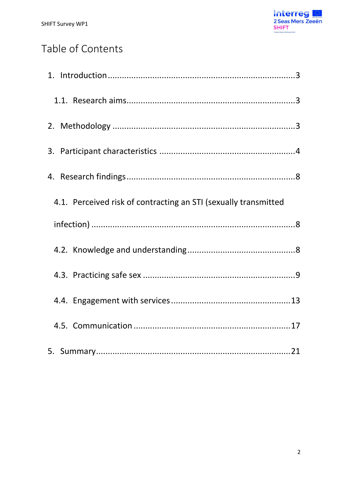

# Table of Contents

| 4.1. Perceived risk of contracting an STI (sexually transmitted |  |
|-----------------------------------------------------------------|--|
|                                                                 |  |
|                                                                 |  |
|                                                                 |  |
|                                                                 |  |
|                                                                 |  |
|                                                                 |  |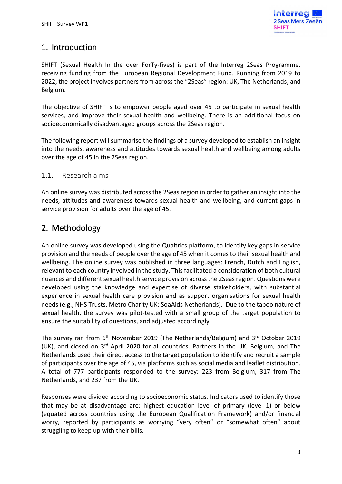# <span id="page-2-0"></span>1. Introduction

SHIFT (Sexual Health In the over ForTy-fives) is part of the Interreg 2Seas Programme, receiving funding from the European Regional Development Fund. Running from 2019 to 2022, the project involves partners from across the "2Seas" region: UK, The Netherlands, and Belgium.

The objective of SHIFT is to empower people aged over 45 to participate in sexual health services, and improve their sexual health and wellbeing. There is an additional focus on socioeconomically disadvantaged groups across the 2Seas region.

The following report will summarise the findings of a survey developed to establish an insight into the needs, awareness and attitudes towards sexual health and wellbeing among adults over the age of 45 in the 2Seas region.

# <span id="page-2-1"></span>1.1. Research aims

An online survey was distributed across the 2Seas region in order to gather an insight into the needs, attitudes and awareness towards sexual health and wellbeing, and current gaps in service provision for adults over the age of 45.

# <span id="page-2-2"></span>2. Methodology

An online survey was developed using the Qualtrics platform, to identify key gaps in service provision and the needs of people over the age of 45 when it comes to their sexual health and wellbeing. The online survey was published in three languages: French, Dutch and English, relevant to each country involved in the study. This facilitated a consideration of both cultural nuances and different sexual health service provision across the 2Seas region. Questions were developed using the knowledge and expertise of diverse stakeholders, with substantial experience in sexual health care provision and as support organisations for sexual health needs (e.g., NHS Trusts, Metro Charity UK; SoaAids Netherlands). Due to the taboo nature of sexual health, the survey was pilot-tested with a small group of the target population to ensure the suitability of questions, and adjusted accordingly.

The survey ran from 6<sup>th</sup> November 2019 (The Netherlands/Belgium) and 3<sup>rd</sup> October 2019 (UK), and closed on 3rd April 2020 for all countries. Partners in the UK, Belgium, and The Netherlands used their direct access to the target population to identify and recruit a sample of participants over the age of 45, via platforms such as social media and leaflet distribution. A total of 777 participants responded to the survey: 223 from Belgium, 317 from The Netherlands, and 237 from the UK.

Responses were divided according to socioeconomic status. Indicators used to identify those that may be at disadvantage are: highest education level of primary (level 1) or below (equated across countries using the European Qualification Framework) and/or financial worry, reported by participants as worrying "very often" or "somewhat often" about struggling to keep up with their bills.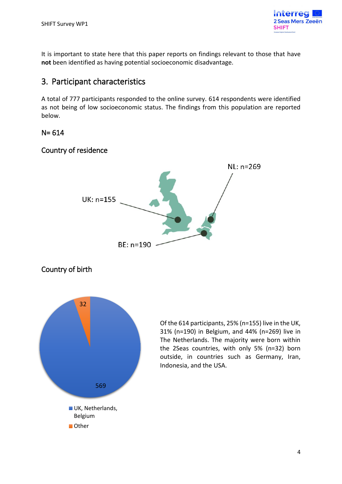

It is important to state here that this paper reports on findings relevant to those that have **not** been identified as having potential socioeconomic disadvantage.

# <span id="page-3-0"></span>3. Participant characteristics

A total of 777 participants responded to the online survey. 614 respondents were identified as not being of low socioeconomic status. The findings from this population are reported below.

# N= 614

# Country of residence



# Country of birth



Of the 614 participants, 25% (n=155) live in the UK, 31% (n=190) in Belgium, and 44% (n=269) live in The Netherlands. The majority were born within the 2Seas countries, with only 5% (n=32) born outside, in countries such as Germany, Iran, Indonesia, and the USA.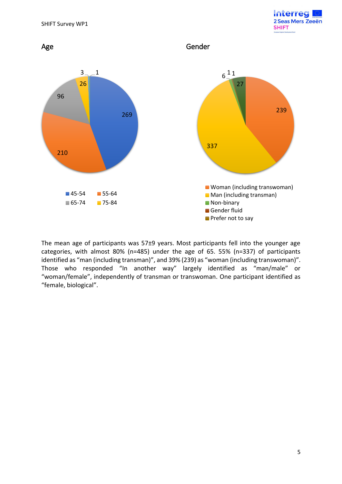



The mean age of participants was 57±9 years. Most participants fell into the younger age categories, with almost 80% (n=485) under the age of 65. 55% (n=337) of participants identified as "man (including transman)", and 39% (239) as "woman (including transwoman)". Those who responded "In another way" largely identified as "man/male" or "woman/female", independently of transman or transwoman. One participant identified as "female, biological".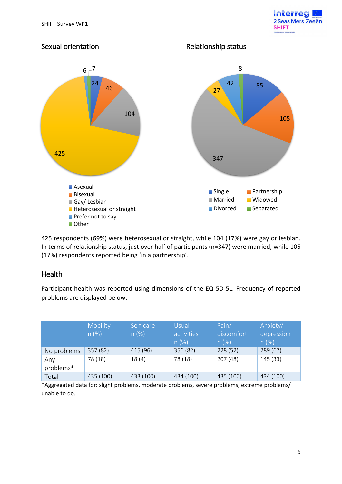





425 respondents (69%) were heterosexual or straight, while 104 (17%) were gay or lesbian. In terms of relationship status, just over half of participants (n=347) were married, while 105 (17%) respondents reported being 'in a partnership'.

# **Health**

Participant health was reported using dimensions of the EQ-5D-5L. Frequency of reported problems are displayed below:

|                  | Mobility<br>n(%) | Self-care<br>n(%) | Usual<br>activities<br>n(%) | Pain/<br>discomfort<br>n(%) | Anxiety/<br>depression<br>n(%) |
|------------------|------------------|-------------------|-----------------------------|-----------------------------|--------------------------------|
| No problems      | 357(82)          | 415 (96)          | 356 (82)                    | 228 (52)                    | 289(67)                        |
| Any<br>problems* | 78 (18)          | 18(4)             | 78 (18)                     | 207(48)                     | 145(33)                        |
| Total            | 435 (100)        | 433 (100)         | 434 (100)                   | 435 (100)                   | 434 (100)                      |

\*Aggregated data for: slight problems, moderate problems, severe problems, extreme problems/ unable to do.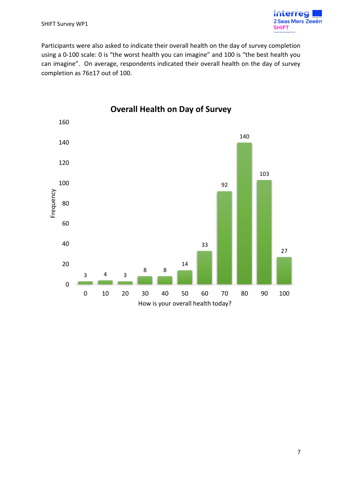

Participants were also asked to indicate their overall health on the day of survey completion using a 0-100 scale: 0 is "the worst health you can imagine" and 100 is "the best health you can imagine". On average, respondents indicated their overall health on the day of survey completion as 76±17 out of 100.



#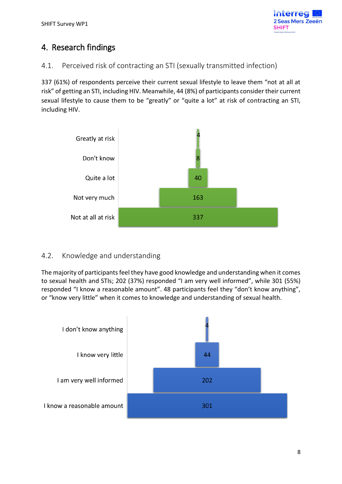

# <span id="page-7-0"></span>4. Research findings

<span id="page-7-1"></span>4.1. Perceived risk of contracting an STI (sexually transmitted infection)

337 (61%) of respondents perceive their current sexual lifestyle to leave them "not at all at risk" of getting an STI, including HIV. Meanwhile, 44 (8%) of participants consider their current sexual lifestyle to cause them to be "greatly" or "quite a lot" at risk of contracting an STI, including HIV.



# <span id="page-7-2"></span>4.2. Knowledge and understanding

The majority of participants feel they have good knowledge and understanding when it comes to sexual health and STIs; 202 (37%) responded "I am very well informed", while 301 (55%) responded "I know a reasonable amount". 48 participants feel they "don't know anything", or "know very little" when it comes to knowledge and understanding of sexual health.

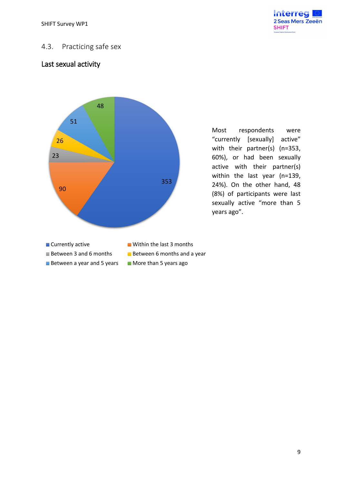

# <span id="page-8-0"></span>4.3. Practicing safe sex

# Last sexual activity



Most respondents were "currently [sexually] active" with their partner(s) (n=353, 60%), or had been sexually active with their partner(s) within the last year (n=139, 24%). On the other hand, 48 (8%) of participants were last sexually active "more than 5 years ago".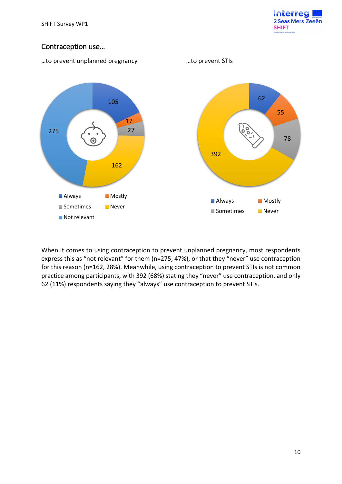

# Contraception use…



When it comes to using contraception to prevent unplanned pregnancy, most respondents express this as "not relevant" for them (n=275, 47%), or that they "never" use contraception for this reason (n=162, 28%). Meanwhile, using contraception to prevent STIs is not common practice among participants, with 392 (68%) stating they "never" use contraception, and only 62 (11%) respondents saying they "always" use contraception to prevent STIs.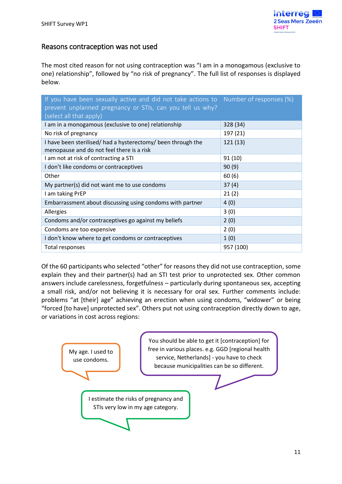# Reasons contraception was not used

The most cited reason for not using contraception was "I am in a monogamous (exclusive to one) relationship", followed by "no risk of pregnancy". The full list of responses is displayed below.

| If you have been sexually active and did not take actions to Number of responses (%)<br>prevent unplanned pregnancy or STIs, can you tell us why?<br>(select all that apply) |           |
|------------------------------------------------------------------------------------------------------------------------------------------------------------------------------|-----------|
| I am in a monogamous (exclusive to one) relationship                                                                                                                         | 328 (34)  |
| No risk of pregnancy                                                                                                                                                         | 197 (21)  |
| I have been sterilised/ had a hysterectomy/ been through the<br>menopause and do not feel there is a risk                                                                    | 121(13)   |
| I am not at risk of contracting a STI                                                                                                                                        | 91(10)    |
| I don't like condoms or contraceptives                                                                                                                                       | 90(9)     |
| Other                                                                                                                                                                        | 60(6)     |
| My partner(s) did not want me to use condoms                                                                                                                                 | 37(4)     |
| I am taking PrEP                                                                                                                                                             | 21(2)     |
| Embarrassment about discussing using condoms with partner                                                                                                                    | 4(0)      |
| <b>Allergies</b>                                                                                                                                                             | 3(0)      |
| Condoms and/or contraceptives go against my beliefs                                                                                                                          | 2(0)      |
| Condoms are too expensive                                                                                                                                                    | 2(0)      |
| I don't know where to get condoms or contraceptives                                                                                                                          | 1(0)      |
| Total responses                                                                                                                                                              | 957 (100) |

Of the 60 participants who selected "other" for reasons they did not use contraception, some explain they and their partner(s) had an STI test prior to unprotected sex. Other common answers include carelessness, forgetfulness – particularly during spontaneous sex, accepting a small risk, and/or not believing it is necessary for oral sex. Further comments include: problems "at [their] age" achieving an erection when using condoms, "widower" or being "forced [to have] unprotected sex". Others put not using contraception directly down to age, or variations in cost across regions:

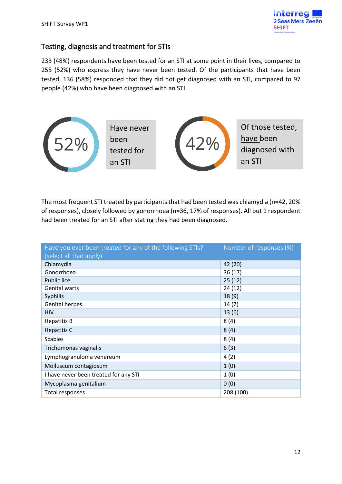

# Testing, diagnosis and treatment for STIs

233 (48%) respondents have been tested for an STI at some point in their lives, compared to 255 (52%) who express they have never been tested. Of the participants that have been tested, 136 (58%) responded that they did not get diagnosed with an STI, compared to 97 people (42%) who have been diagnosed with an STI.



The most frequent STI treated by participants that had been tested was chlamydia (n=42, 20% of responses), closely followed by gonorrhoea (n=36, 17% of responses). All but 1 respondent had been treated for an STI after stating they had been diagnosed.

| Have you ever been treated for any of the following STIs?<br>(select all that apply) | Number of responses (%) |
|--------------------------------------------------------------------------------------|-------------------------|
| Chlamydia                                                                            | 42 (20)                 |
| Gonorrhoea                                                                           | 36(17)                  |
| <b>Public lice</b>                                                                   | 25(12)                  |
| <b>Genital warts</b>                                                                 | 24(12)                  |
| <b>Syphilis</b>                                                                      | 18(9)                   |
| <b>Genital herpes</b>                                                                | 14(7)                   |
| <b>HIV</b>                                                                           | 13(6)                   |
| <b>Hepatitis B</b>                                                                   | 8(4)                    |
| Hepatitis C                                                                          | 8(4)                    |
| <b>Scabies</b>                                                                       | 8(4)                    |
| Trichomonas vaginalis                                                                | 6(3)                    |
| Lymphogranuloma venereum                                                             | 4(2)                    |
| Molluscum contagiosum                                                                | 1(0)                    |
| I have never been treated for any STI                                                | 1(0)                    |
| Mycoplasma genitalium                                                                | 0(0)                    |
| Total responses                                                                      | 208 (100)               |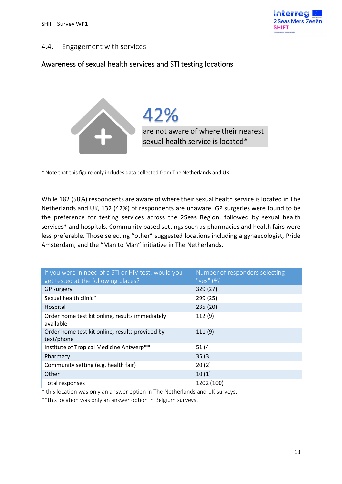

#### <span id="page-12-0"></span>4.4. Engagement with services

# Awareness of sexual health services and STI testing locations



are not aware of where their nearest sexual health service is located\* 42%

\* Note that this figure only includes data collected from The Netherlands and UK.

While 182 (58%) respondents are aware of where their sexual health service is located in The Netherlands and UK, 132 (42%) of respondents are unaware. GP surgeries were found to be the preference for testing services across the 2Seas Region, followed by sexual health services\* and hospitals. Community based settings such as pharmacies and health fairs were less preferable. Those selecting "other" suggested locations including a gynaecologist, Pride Amsterdam, and the "Man to Man" initiative in The Netherlands.

| If you were in need of a STI or HIV test, would you           | Number of responders selecting |
|---------------------------------------------------------------|--------------------------------|
| get tested at the following places?                           | "yes" $(\%)$                   |
| GP surgery                                                    | 329(27)                        |
| Sexual health clinic*                                         | 299 (25)                       |
| Hospital                                                      | 235 (20)                       |
| Order home test kit online, results immediately<br>available  | 112(9)                         |
| Order home test kit online, results provided by<br>text/phone | 111(9)                         |
| Institute of Tropical Medicine Antwerp**                      | 51(4)                          |
| Pharmacy                                                      | 35(3)                          |
| Community setting (e.g. health fair)                          | 20(2)                          |
| Other                                                         | 10(1)                          |
| Total responses                                               | 1202 (100)                     |

\* this location was only an answer option in The Netherlands and UK surveys.

\*\*this location was only an answer option in Belgium surveys.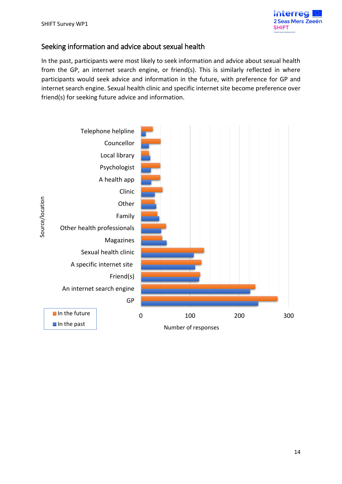

# Seeking information and advice about sexual health

In the past, participants were most likely to seek information and advice about sexual health from the GP, an internet search engine, or friend(s). This is similarly reflected in where participants would seek advice and information in the future, with preference for GP and internet search engine. Sexual health clinic and specific internet site become preference over friend(s) for seeking future advice and information.

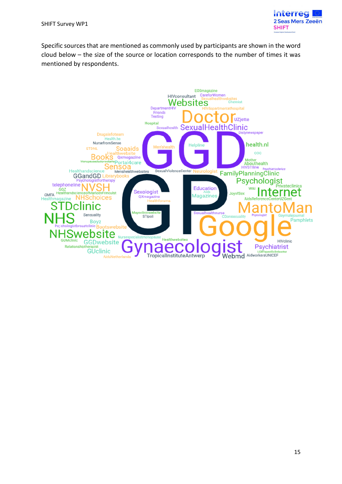

Specific sources that are mentioned as commonly used by participants are shown in the word cloud below – the size of the source or location corresponds to the number of times it was mentioned by respondents.

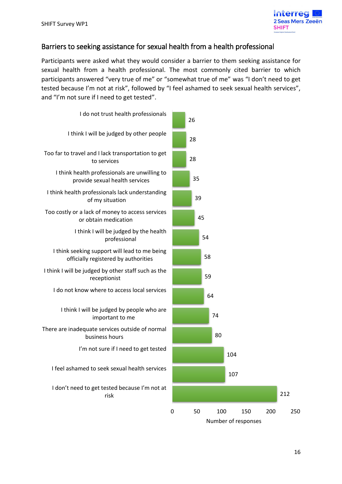

#### Barriers to seeking assistance for sexual health from a health professional

Participants were asked what they would consider a barrier to them seeking assistance for sexual health from a health professional. The most commonly cited barrier to which participants answered "very true of me" or "somewhat true of me" was "I don't need to get tested because I'm not at risk", followed by "I feel ashamed to seek sexual health services", and "I'm not sure if I need to get tested".



212

107

104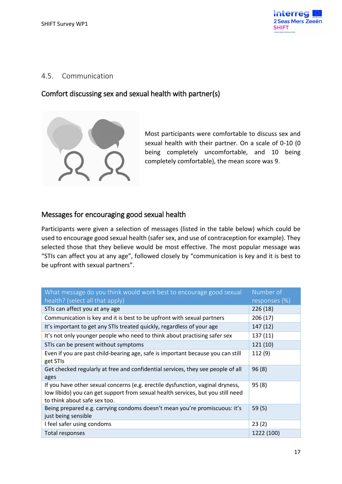

#### <span id="page-16-0"></span>4.5. Communication

#### Comfort discussing sex and sexual health with partner(s)



Most participants were comfortable to discuss sex and sexual health with their partner. On a scale of 0-10 (0 being completely uncomfortable, and 10 being completely comfortable), the mean score was 9.

# Messages for encouraging good sexual health

Participants were given a selection of messages (listed in the table below) which could be used to encourage good sexual health (safer sex, and use of contraception for example). They selected those that they believe would be most effective. The most popular message was "STIs can affect you at any age", followed closely by "communication is key and it is best to be upfront with sexual partners".

| What message do you think would work best to encourage good sexual                                                                                                                                | Number of     |
|---------------------------------------------------------------------------------------------------------------------------------------------------------------------------------------------------|---------------|
| health? (select all that apply)                                                                                                                                                                   | responses (%) |
| STIs can affect you at any age                                                                                                                                                                    | 226 (18)      |
| Communication is key and it is best to be upfront with sexual partners                                                                                                                            | 206 (17)      |
| It's important to get any STIs treated quickly, regardless of your age                                                                                                                            | 147 (12)      |
| It's not only younger people who need to think about practising safer sex                                                                                                                         | 137 (11)      |
| STIs can be present without symptoms                                                                                                                                                              | 121(10)       |
| Even if you are past child-bearing age, safe is important because you can still<br>get STIs                                                                                                       | 112 (9)       |
| Get checked regularly at free and confidential services, they see people of all<br>ages                                                                                                           | 96(8)         |
| If you have other sexual concerns (e.g. erectile dysfunction, vaginal dryness,<br>low libido) you can get support from sexual health services, but you still need<br>to think about safe sex too. | 95(8)         |
| Being prepared e.g. carrying condoms doesn't mean you're promiscuous: it's<br>just being sensible                                                                                                 | 59(5)         |
| I feel safer using condoms                                                                                                                                                                        | 23(2)         |
| Total responses                                                                                                                                                                                   | 1222 (100)    |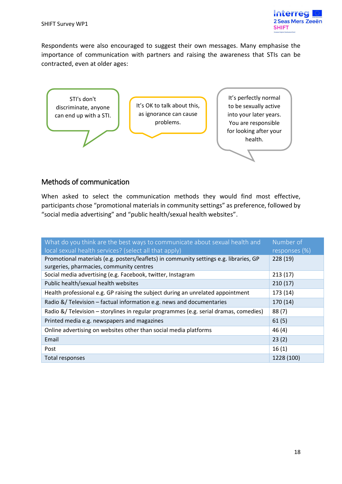

Respondents were also encouraged to suggest their own messages. Many emphasise the importance of communication with partners and raising the awareness that STIs can be contracted, even at older ages:



# Methods of communication

When asked to select the communication methods they would find most effective, participants chose "promotional materials in community settings" as preference, followed by "social media advertising" and "public health/sexual health websites".

| What do you think are the best ways to communicate about sexual health and             | Number of     |
|----------------------------------------------------------------------------------------|---------------|
| local sexual health services? (select all that apply)                                  | responses (%) |
| Promotional materials (e.g. posters/leaflets) in community settings e.g. libraries, GP | 228(19)       |
| surgeries, pharmacies, community centres                                               |               |
| Social media advertising (e.g. Facebook, twitter, Instagram                            | 213(17)       |
| Public health/sexual health websites                                                   | 210(17)       |
| Health professional e.g. GP raising the subject during an unrelated appointment        | 173 (14)      |
| Radio &/ Television - factual information e.g. news and documentaries                  | 170 (14)      |
| Radio &/ Television - storylines in regular programmes (e.g. serial dramas, comedies)  | 88(7)         |
| Printed media e.g. newspapers and magazines                                            | 61(5)         |
| Online advertising on websites other than social media platforms                       | 46(4)         |
| Email                                                                                  | 23(2)         |
| Post                                                                                   | 16(1)         |
| Total responses                                                                        | 1228 (100)    |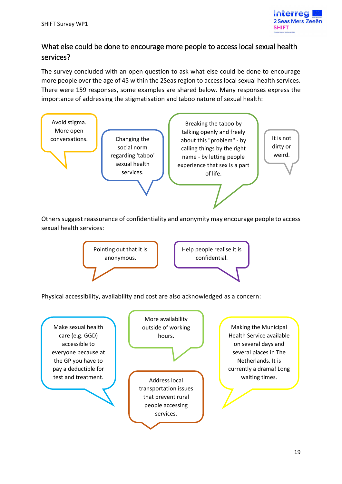

# What else could be done to encourage more people to access local sexual health services?

The survey concluded with an open question to ask what else could be done to encourage more people over the age of 45 within the 2Seas region to access local sexual health services. There were 159 responses, some examples are shared below. Many responses express the importance of addressing the stigmatisation and taboo nature of sexual health:



Others suggest reassurance of confidentiality and anonymity may encourage people to access sexual health services:



Physical accessibility, availability and cost are also acknowledged as a concern:

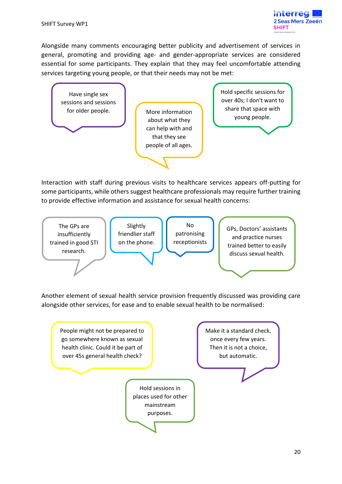

Alongside many comments encouraging better publicity and advertisement of services in general, promoting and providing age- and gender-appropriate services are considered essential for some participants. They explain that they may feel uncomfortable attending services targeting young people, or that their needs may not be met:



Interaction with staff during previous visits to healthcare services appears off-putting for some participants, while others suggest healthcare professionals may require further training to provide effective information and assistance for sexual health concerns:



Another element of sexual health service provision frequently discussed was providing care alongside other services, for ease and to enable sexual health to be normalised: